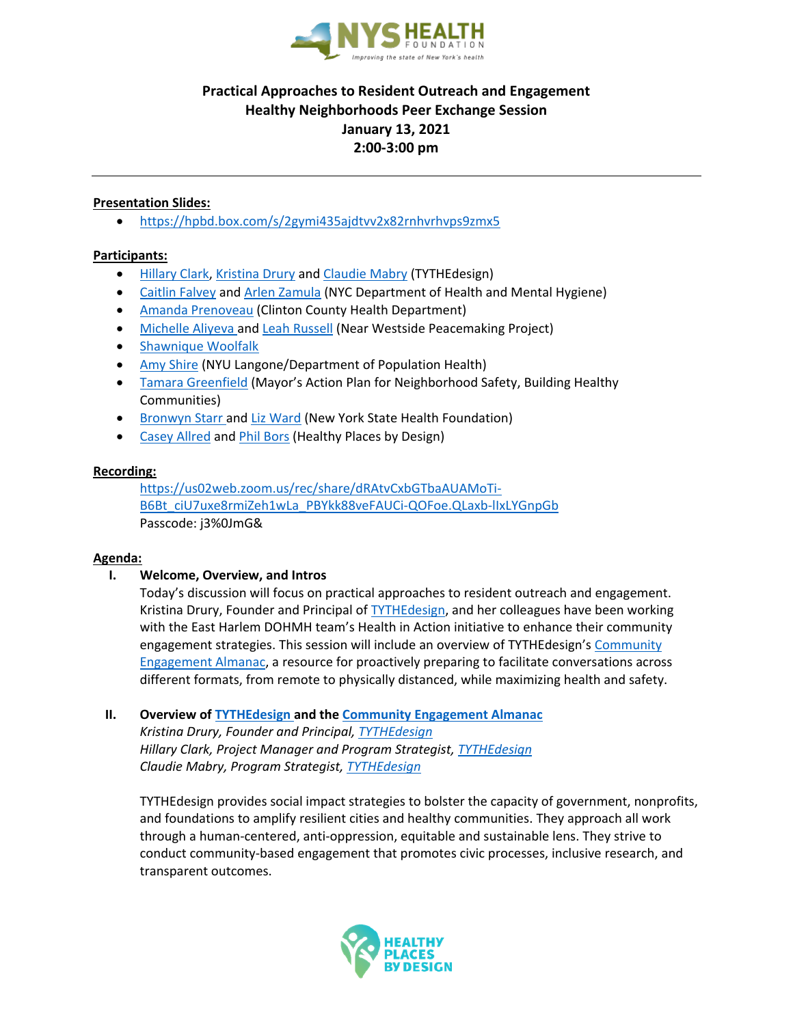

# **Practical Approaches to Resident Outreach and Engagement Healthy Neighborhoods Peer Exchange Session January 13, 2021 2:00-3:00 pm**

## **Presentation Slides:**

<https://hpbd.box.com/s/2gymi435ajdtvv2x82rnhvrhvps9zmx5>

#### **Participants:**

- [Hillary Clark,](mailto:hillary@tythe-design.com) [Kristina Drury](mailto:kristina@tythe-design.com) and [Claudie Mabry](mailto:claudie@tythe-design.com) (TYTHEdesign)
- [Caitlin Falvey](mailto:cfalvey@health.nyc.gov) an[d Arlen Zamula](mailto:azamula@health.nyc.gov) (NYC Department of Health and Mental Hygiene)
- [Amanda Prenoveau](mailto:Amanda.Prenoveau@clintoncountygov.com) (Clinton County Health Department)
- [Michelle Aliyeva](mailto:Aliyevam@courtinnovation.org) an[d Leah Russell](mailto:lrussell@courtinnovation.org) (Near Westside Peacemaking Project)
- [Shawnique Woolfalk](mailto:Artinthepark111@gmail.com)
- [Amy Shire](mailto:apshire1@gmail.com) (NYU Langone/Department of Population Health)
- [Tamara Greenfield](mailto:tgreenfield@cityhall.nyc.gov) (Mayor's Action Plan for Neighborhood Safety, Building Healthy Communities)
- [Bronwyn Starr](mailto:starr@nyshealth.org) and [Liz Ward](mailto:ward@NYSHealth.org) (New York State Health Foundation)
- [Casey Allred](mailto:caseya@healthyplacesbydesign.org) an[d Phil Bors](mailto:Phil%20Bors%20%3cPhilB@healthyplacesbydesign.org%3e) (Healthy Places by Design)

#### **Recording:**

[https://us02web.zoom.us/rec/share/dRAtvCxbGTbaAUAMoTi-](https://us02web.zoom.us/rec/share/dRAtvCxbGTbaAUAMoTi-B6Bt_ciU7uxe8rmiZeh1wLa_PBYkk88veFAUCi-QOFoe.QLaxb-lIxLYGnpGb)[B6Bt\\_ciU7uxe8rmiZeh1wLa\\_PBYkk88veFAUCi-QOFoe.QLaxb-lIxLYGnpGb](https://us02web.zoom.us/rec/share/dRAtvCxbGTbaAUAMoTi-B6Bt_ciU7uxe8rmiZeh1wLa_PBYkk88veFAUCi-QOFoe.QLaxb-lIxLYGnpGb) Passcode: j3%0JmG&

#### **Agenda:**

**I. Welcome, Overview, and Intros**

Today's discussion will focus on practical approaches to resident outreach and engagement. Kristina Drury, Founder and Principal o[f TYTHEdesign,](https://tythe-design.org/our-work/) and her colleagues have been working with the East Harlem DOHMH team's Health in Action initiative to enhance their community engagement strategies. This session will include an overview of TYTHEdesign's [Community](https://tythe-design.org/resources/)  [Engagement Almanac,](https://tythe-design.org/resources/) a resource for proactively preparing to facilitate conversations across different formats, from remote to physically distanced, while maximizing health and safety.

**II. Overview of [TYTHEdesign](https://tythe-design.org/our-work/) and th[e Community Engagement Almanac](https://tythe-design.org/resources/)**

*Kristina Drury, Founder and Principal, [TYTHEdesign](https://tythe-design.org/our-work/) [Hillary Clark,](mailto:hillary@tythe-design.com) Project Manager and Program Strategist[, TYTHEdesign](https://tythe-design.org/our-work/) [Claudie Mabry,](mailto:claudie@tythe-design.com) Program Strategist, [TYTHEdesign](https://tythe-design.org/our-work/)*

TYTHEdesign provides social impact strategies to bolster the capacity of government, nonprofits, and foundations to amplify resilient cities and healthy communities. They approach all work through a human-centered, anti-oppression, equitable and sustainable lens. They strive to conduct community-based engagement that promotes civic processes, inclusive research, and transparent outcomes.

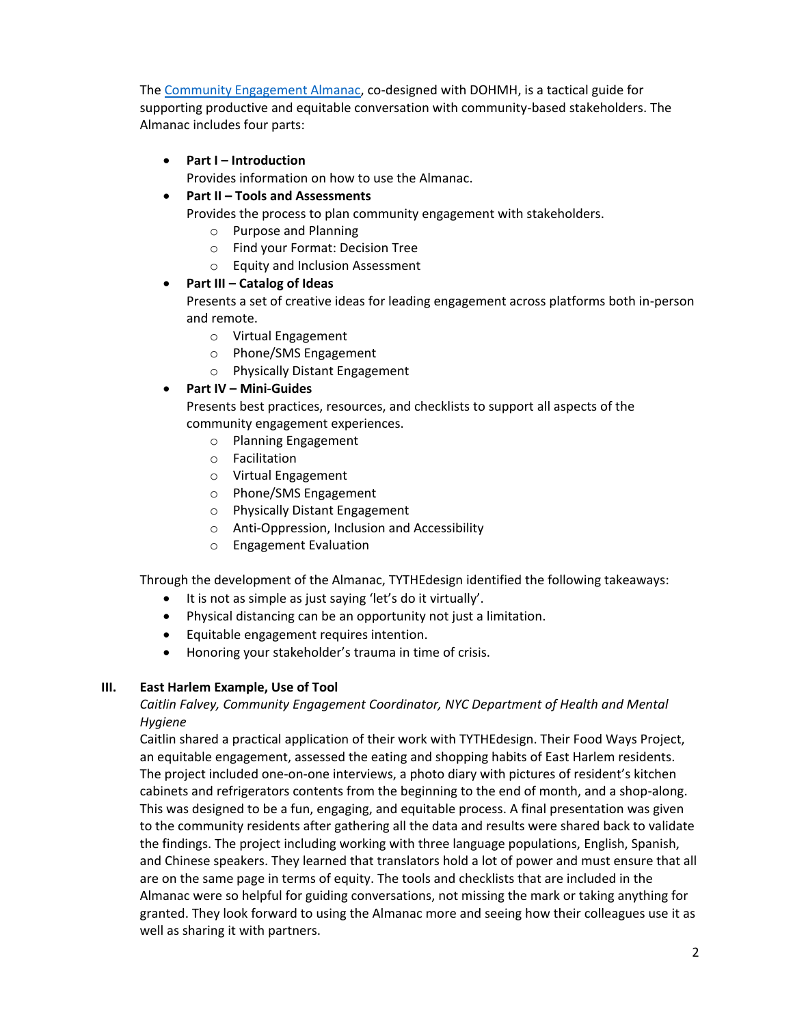The [Community Engagement Almanac,](https://tythe-design.org/resources/) co-designed with DOHMH, is a tactical guide for supporting productive and equitable conversation with community-based stakeholders. The Almanac includes four parts:

**Part I – Introduction**

Provides information on how to use the Almanac.

**Part II – Tools and Assessments**

Provides the process to plan community engagement with stakeholders.

- o Purpose and Planning
- o Find your Format: Decision Tree
- o Equity and Inclusion Assessment

#### **Part III – Catalog of Ideas**

Presents a set of creative ideas for leading engagement across platforms both in-person and remote.

- o Virtual Engagement
- o Phone/SMS Engagement
- o Physically Distant Engagement

## **Part IV – Mini-Guides**

Presents best practices, resources, and checklists to support all aspects of the community engagement experiences.

- o Planning Engagement
- o Facilitation
- o Virtual Engagement
- o Phone/SMS Engagement
- o Physically Distant Engagement
- o Anti-Oppression, Inclusion and Accessibility
- o Engagement Evaluation

Through the development of the Almanac, TYTHEdesign identified the following takeaways:

- It is not as simple as just saying 'let's do it virtually'.
- Physical distancing can be an opportunity not just a limitation.
- Equitable engagement requires intention.
- Honoring your stakeholder's trauma in time of crisis.

#### **III. East Harlem Example, Use of Tool**

# *Caitlin Falvey, Community Engagement Coordinator, NYC Department of Health and Mental Hygiene*

Caitlin shared a practical application of their work with TYTHEdesign. Their Food Ways Project, an equitable engagement, assessed the eating and shopping habits of East Harlem residents. The project included one-on-one interviews, a photo diary with pictures of resident's kitchen cabinets and refrigerators contents from the beginning to the end of month, and a shop-along. This was designed to be a fun, engaging, and equitable process. A final presentation was given to the community residents after gathering all the data and results were shared back to validate the findings. The project including working with three language populations, English, Spanish, and Chinese speakers. They learned that translators hold a lot of power and must ensure that all are on the same page in terms of equity. The tools and checklists that are included in the Almanac were so helpful for guiding conversations, not missing the mark or taking anything for granted. They look forward to using the Almanac more and seeing how their colleagues use it as well as sharing it with partners.